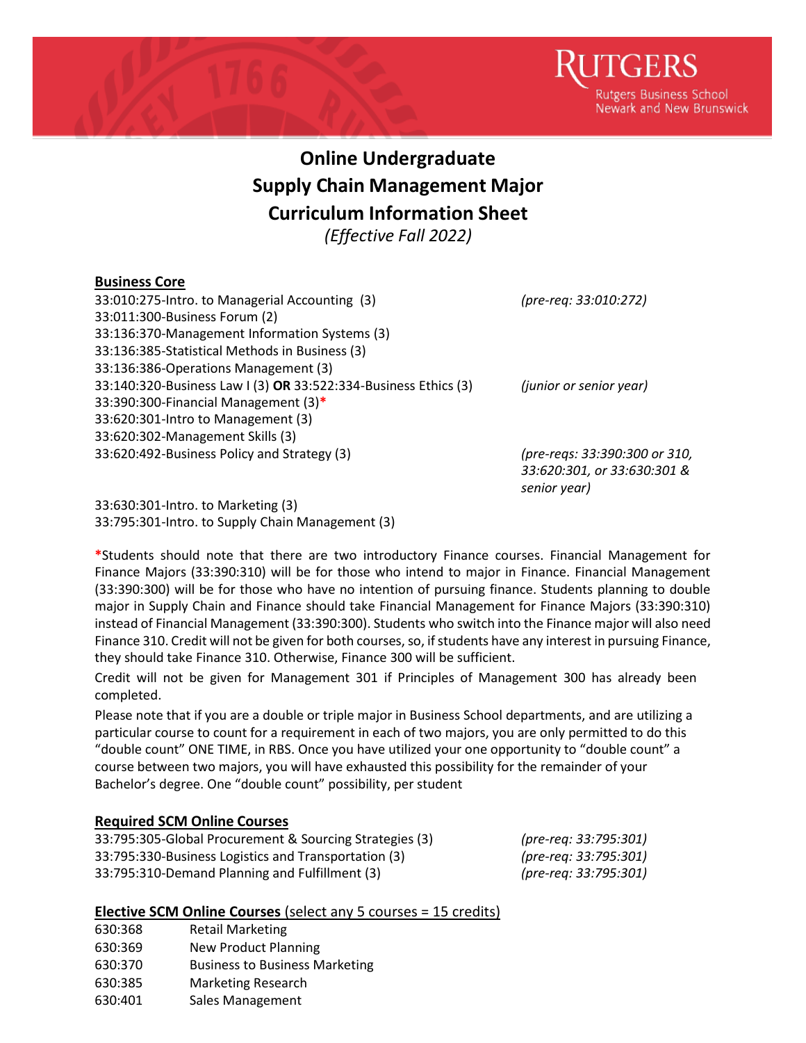

## **Online Undergraduate Supply Chain Management Major Curriculum Information Sheet**

*(Effective Fall 2022)*

## **Business Core**

| 33:010:275-Intro. to Managerial Accounting (3)                  | (pre-req: 33:010:272)         |
|-----------------------------------------------------------------|-------------------------------|
| 33:011:300-Business Forum (2)                                   |                               |
| 33:136:370-Management Information Systems (3)                   |                               |
| 33:136:385-Statistical Methods in Business (3)                  |                               |
| 33:136:386-Operations Management (3)                            |                               |
| 33:140:320-Business Law I (3) OR 33:522:334-Business Ethics (3) | (junior or senior year)       |
| 33:390:300-Financial Management (3)*                            |                               |
| 33:620:301-Intro to Management (3)                              |                               |
| 33:620:302-Management Skills (3)                                |                               |
| 33:620:492-Business Policy and Strategy (3)                     | (pre-regs: 33:390:300 or 310, |
|                                                                 | 33:620:301, or 33:630:301 &   |
|                                                                 | senior year)                  |

33:630:301-Intro. to Marketing (3) 33:795:301-Intro. to Supply Chain Management (3)

**\***Students should note that there are two introductory Finance courses. Financial Management for Finance Majors (33:390:310) will be for those who intend to major in Finance. Financial Management (33:390:300) will be for those who have no intention of pursuing finance. Students planning to double major in Supply Chain and Finance should take Financial Management for Finance Majors (33:390:310) instead of Financial Management (33:390:300). Students who switch into the Finance major will also need Finance 310. Credit will not be given for both courses, so, if students have any interest in pursuing Finance, they should take Finance 310. Otherwise, Finance 300 will be sufficient.

Credit will not be given for Management 301 if Principles of Management 300 has already been completed.

Please note that if you are a double or triple major in Business School departments, and are utilizing a particular course to count for a requirement in each of two majors, you are only permitted to do this "double count" ONE TIME, in RBS. Once you have utilized your one opportunity to "double count" a course between two majors, you will have exhausted this possibility for the remainder of your Bachelor's degree. One "double count" possibility, per student

## **Required SCM Online Courses**

| 33:795:305-Global Procurement & Sourcing Strategies (3) | (pre-req: 33:795:301) |
|---------------------------------------------------------|-----------------------|
| 33:795:330-Business Logistics and Transportation (3)    | (pre-req: 33:795:301) |
| 33:795:310-Demand Planning and Fulfillment (3)          | (pre-req: 33:795:301) |

## **Elective SCM Online Courses** (select any 5 courses = 15 credits)

- 630:368 Retail Marketing
- 630:369 New Product Planning
- 630:370 Business to Business Marketing
- 630:385 Marketing Research
- 630:401 Sales Management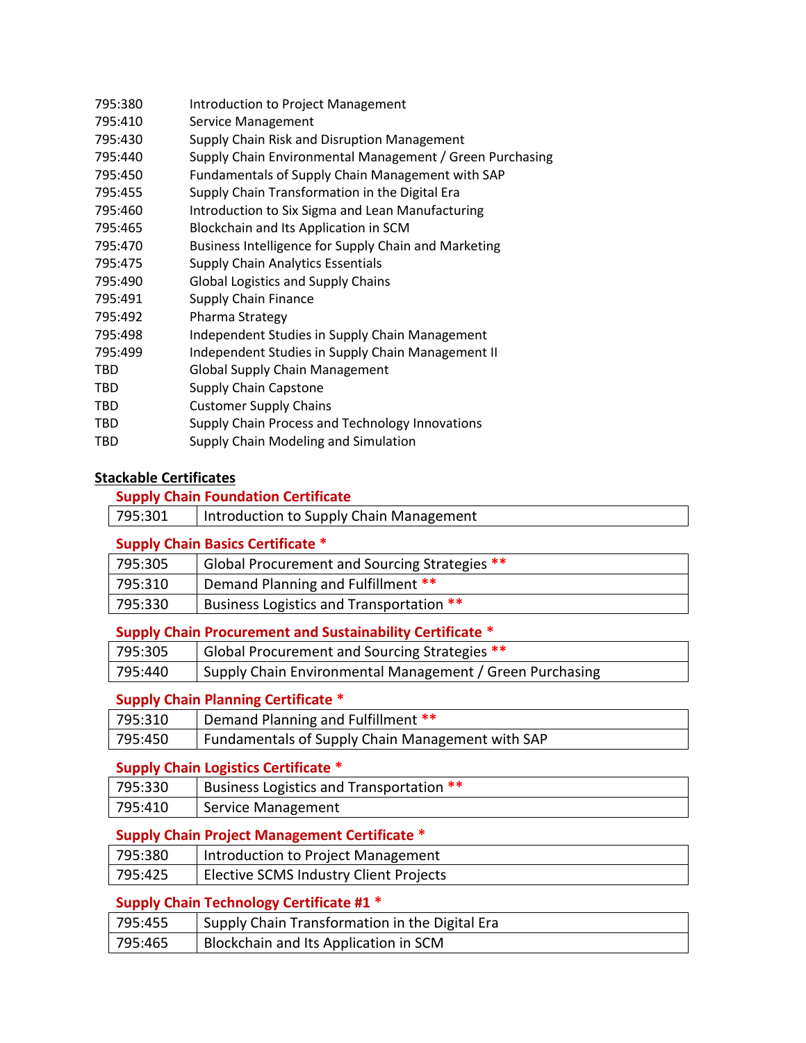| 795:380    | Introduction to Project Management                       |
|------------|----------------------------------------------------------|
| 795:410    | Service Management                                       |
| 795:430    | Supply Chain Risk and Disruption Management              |
| 795:440    | Supply Chain Environmental Management / Green Purchasing |
| 795:450    | Fundamentals of Supply Chain Management with SAP         |
| 795:455    | Supply Chain Transformation in the Digital Era           |
| 795:460    | Introduction to Six Sigma and Lean Manufacturing         |
| 795:465    | Blockchain and Its Application in SCM                    |
| 795:470    | Business Intelligence for Supply Chain and Marketing     |
| 795:475    | Supply Chain Analytics Essentials                        |
| 795:490    | <b>Global Logistics and Supply Chains</b>                |
| 795:491    | <b>Supply Chain Finance</b>                              |
| 795:492    | Pharma Strategy                                          |
| 795:498    | Independent Studies in Supply Chain Management           |
| 795:499    | Independent Studies in Supply Chain Management II        |
| <b>TBD</b> | <b>Global Supply Chain Management</b>                    |
| TBD        | <b>Supply Chain Capstone</b>                             |
| TBD        | <b>Customer Supply Chains</b>                            |
| TBD        | Supply Chain Process and Technology Innovations          |
| TBD        | Supply Chain Modeling and Simulation                     |

## **Stackable Certificates**

## **Supply Chain Foundation Certificate**

#### **Supply Chain Basics Certificate \***

| 795:305 | Global Procurement and Sourcing Strategies ** |
|---------|-----------------------------------------------|
| 795:310 | Demand Planning and Fulfillment **            |
| 795:330 | Business Logistics and Transportation **      |

## **Supply Chain Procurement and Sustainability Certificate \***

| 795:305 | Global Procurement and Sourcing Strategies **            |
|---------|----------------------------------------------------------|
| 795:440 | Supply Chain Environmental Management / Green Purchasing |

## **Supply Chain Planning Certificate \***

| 795:310 | Demand Planning and Fulfillment **               |
|---------|--------------------------------------------------|
| 795:450 | Fundamentals of Supply Chain Management with SAP |

#### **Supply Chain Logistics Certificate \***

| 795:330 | Business Logistics and Transportation ** |
|---------|------------------------------------------|
| 795:410 | Service Management                       |

## **Supply Chain Project Management Certificate \***

| 795:380 | Introduction to Project Management     |
|---------|----------------------------------------|
| 795:425 | Elective SCMS Industry Client Projects |

#### **Supply Chain Technology Certificate #1 \***

| 795:455 | Supply Chain Transformation in the Digital Era |
|---------|------------------------------------------------|
| 795:465 | Blockchain and Its Application in SCM          |